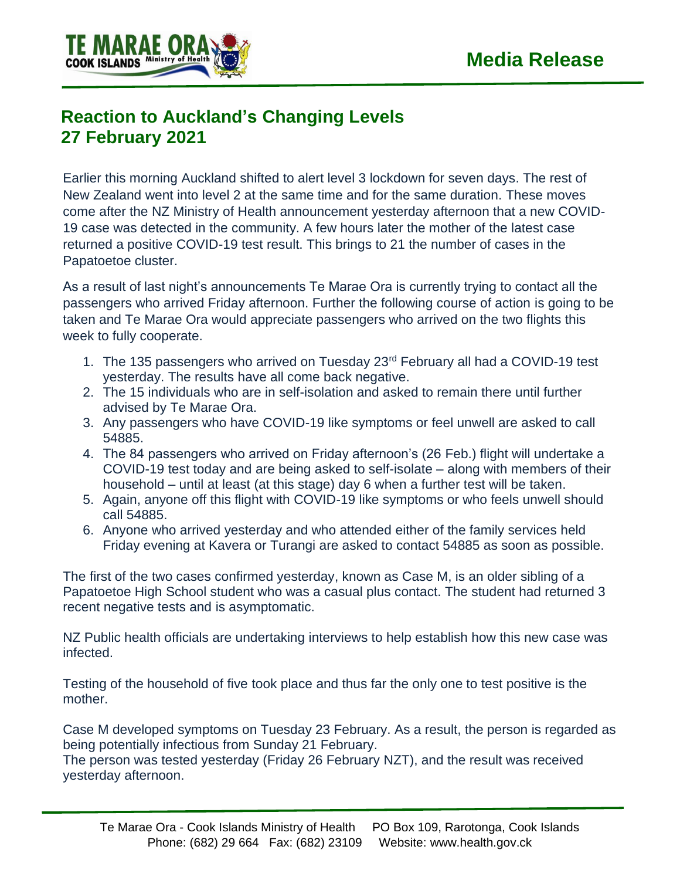

## **Reaction to Auckland's Changing Levels 27 February 2021**

Earlier this morning Auckland shifted to alert level 3 lockdown for seven days. The rest of New Zealand went into level 2 at the same time and for the same duration. These moves come after the NZ Ministry of Health announcement yesterday afternoon that a new COVID-19 case was detected in the community. A few hours later the mother of the latest case returned a positive COVID-19 test result. This brings to 21 the number of cases in the Papatoetoe cluster.

As a result of last night's announcements Te Marae Ora is currently trying to contact all the passengers who arrived Friday afternoon. Further the following course of action is going to be taken and Te Marae Ora would appreciate passengers who arrived on the two flights this week to fully cooperate.

- 1. The 135 passengers who arrived on Tuesday 23rd February all had a COVID-19 test yesterday. The results have all come back negative.
- 2. The 15 individuals who are in self-isolation and asked to remain there until further advised by Te Marae Ora.
- 3. Any passengers who have COVID-19 like symptoms or feel unwell are asked to call 54885.
- 4. The 84 passengers who arrived on Friday afternoon's (26 Feb.) flight will undertake a COVID-19 test today and are being asked to self-isolate – along with members of their household – until at least (at this stage) day 6 when a further test will be taken.
- 5. Again, anyone off this flight with COVID-19 like symptoms or who feels unwell should call 54885.
- 6. Anyone who arrived yesterday and who attended either of the family services held Friday evening at Kavera or Turangi are asked to contact 54885 as soon as possible.

The first of the two cases confirmed yesterday, known as Case M, is an older sibling of a Papatoetoe High School student who was a casual plus contact. The student had returned 3 recent negative tests and is asymptomatic.

NZ Public health officials are undertaking interviews to help establish how this new case was infected.

Testing of the household of five took place and thus far the only one to test positive is the mother.

Case M developed symptoms on Tuesday 23 February. As a result, the person is regarded as being potentially infectious from Sunday 21 February.

The person was tested yesterday (Friday 26 February NZT), and the result was received yesterday afternoon.